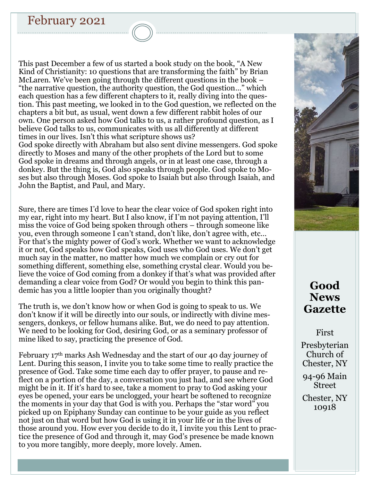# February 2021

John the Baptist, and Paul, and Mary.

This past December a few of us started a book study on the book, "A New Kind of Christianity: 10 questions that are transforming the faith" by Brian McLaren. We've been going through the different questions in the book – "the narrative question, the authority question, the God question…" which each question has a few different chapters to it, really diving into the question. This past meeting, we looked in to the God question, we reflected on the chapters a bit but, as usual, went down a few different rabbit holes of our own. One person asked how God talks to us, a rather profound question, as I believe God talks to us, communicates with us all differently at different times in our lives. Isn't this what scripture shows us? God spoke directly with Abraham but also sent divine messengers. God spoke directly to Moses and many of the other prophets of the Lord but to some God spoke in dreams and through angels, or in at least one case, through a donkey. But the thing is, God also speaks through people. God spoke to Moses but also through Moses. God spoke to Isaiah but also through Isaiah, and

Sure, there are times I'd love to hear the clear voice of God spoken right into my ear, right into my heart. But I also know, if I'm not paying attention, I'll miss the voice of God being spoken through others – through someone like you, even through someone I can't stand, don't like, don't agree with, etc… For that's the mighty power of God's work. Whether we want to acknowledge it or not, God speaks how God speaks, God uses who God uses. We don't get much say in the matter, no matter how much we complain or cry out for something different, something else, something crystal clear. Would you believe the voice of God coming from a donkey if that's what was provided after demanding a clear voice from God? Or would you begin to think this pandemic has you a little loopier than you originally thought?

The truth is, we don't know how or when God is going to speak to us. We don't know if it will be directly into our souls, or indirectly with divine messengers, donkeys, or fellow humans alike. But, we do need to pay attention. We need to be looking for God, desiring God, or as a seminary professor of mine liked to say, practicing the presence of God.

February 17th marks Ash Wednesday and the start of our 40 day journey of Lent. During this season, I invite you to take some time to really practice the presence of God. Take some time each day to offer prayer, to pause and reflect on a portion of the day, a conversation you just had, and see where God might be in it. If it's hard to see, take a moment to pray to God asking your eyes be opened, your ears be unclogged, your heart be softened to recognize the moments in your day that God is with you. Perhaps the "star word" you picked up on Epiphany Sunday can continue to be your guide as you reflect not just on that word but how God is using it in your life or in the lives of those around you. How ever you decide to do it, I invite you this Lent to practice the presence of God and through it, may God's presence be made known to you more tangibly, more deeply, more lovely. Amen.



# **Good News Gazette**

First

Presbyterian Church of Chester, NY

94-96 Main Street

Chester, NY 10918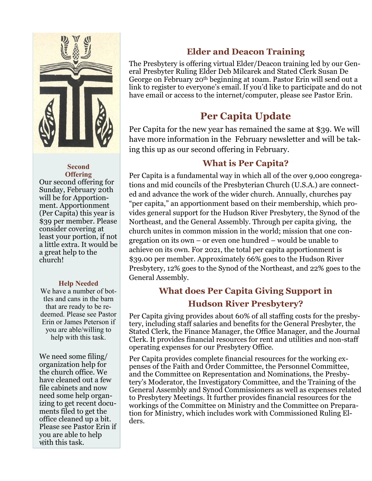

#### **Second Offering**

Our second offering for Sunday, February 20th will be for Apportionment. Apportionment (Per Capita) this year is \$39 per member. Please consider covering at least your portion, if not a little extra. It would be a great help to the church!

### **Help Needed**

We have a number of bottles and cans in the barn that are ready to be redeemed. Please see Pastor Erin or James Peterson if you are able/willing to help with this task.

We need some filing/ organization help for the church office. We have cleaned out a few file cabinets and now need some help organizing to get recent documents filed to get the office cleaned up a bit. Please see Pastor Erin if you are able to help with this task.

## **Elder and Deacon Training**

The Presbytery is offering virtual Elder/Deacon training led by our General Presbyter Ruling Elder Deb Milcarek and Stated Clerk Susan De George on February 20th beginning at 10am. Pastor Erin will send out a link to register to everyone's email. If you'd like to participate and do not have email or access to the internet/computer, please see Pastor Erin.

# **Per Capita Update**

Per Capita for the new year has remained the same at \$39. We will have more information in the February newsletter and will be taking this up as our second offering in February.

## **What is Per Capita?**

Per Capita is a fundamental way in which all of the over 9,000 congregations and mid councils of the Presbyterian Church (U.S.A.) are connected and advance the work of the wider church. Annually, churches pay "per capita," an apportionment based on their membership, which provides general support for the Hudson River Presbytery, the Synod of the Northeast, and the General Assembly. Through per capita giving, the church unites in common mission in the world; mission that one congregation on its own – or even one hundred – would be unable to achieve on its own. For 2021, the total per capita apportionment is \$39.00 per member. Approximately 66% goes to the Hudson River Presbytery, 12% goes to the Synod of the Northeast, and 22% goes to the General Assembly.

# **What does Per Capita Giving Support in Hudson River Presbytery?**

Per Capita giving provides about 60% of all staffing costs for the presbytery, including staff salaries and benefits for the General Presbyter, the Stated Clerk, the Finance Manager, the Office Manager, and the Journal Clerk. It provides financial resources for rent and utilities and non-staff operating expenses for our Presbytery Office.

Per Capita provides complete financial resources for the working expenses of the Faith and Order Committee, the Personnel Committee, and the Committee on Representation and Nominations, the Presbytery's Moderator, the Investigatory Committee, and the Training of the General Assembly and Synod Commissioners as well as expenses related to Presbytery Meetings. It further provides financial resources for the workings of the Committee on Ministry and the Committee on Preparation for Ministry, which includes work with Commissioned Ruling Elders.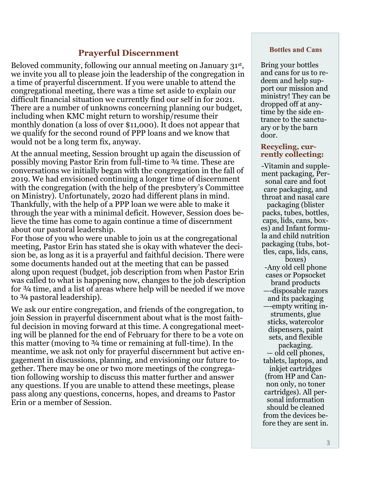### **Prayerful Discernment**

Beloved community, following our annual meeting on January 31st , we invite you all to please join the leadership of the congregation in a time of prayerful discernment. If you were unable to attend the congregational meeting, there was a time set aside to explain our difficult financial situation we currently find our self in for 2021. There are a number of unknowns concerning planning our budget, including when KMC might return to worship/resume their monthly donation (a loss of over \$11,000). It does not appear that we qualify for the second round of PPP loans and we know that would not be a long term fix, anyway.

At the annual meeting, Session brought up again the discussion of possibly moving Pastor Erin from full-time to ¾ time. These are conversations we initially began with the congregation in the fall of 2019. We had envisioned continuing a longer time of discernment with the congregation (with the help of the presbytery's Committee on Ministry). Unfortunately, 2020 had different plans in mind. Thankfully, with the help of a PPP loan we were able to make it through the year with a minimal deficit. However, Session does believe the time has come to again continue a time of discernment about our pastoral leadership.

For those of you who were unable to join us at the congregational meeting, Pastor Erin has stated she is okay with whatever the decision be, as long as it is a prayerful and faithful decision. There were some documents handed out at the meeting that can be passed along upon request (budget, job description from when Pastor Erin was called to what is happening now, changes to the job description for ¾ time, and a list of areas where help will be needed if we move to ¾ pastoral leadership).

We ask our entire congregation, and friends of the congregation, to join Session in prayerful discernment about what is the most faithful decision in moving forward at this time. A congregational meeting will be planned for the end of February for there to be a vote on this matter (moving to ¾ time or remaining at full-time). In the meantime, we ask not only for prayerful discernment but active engagement in discussions, planning, and envisioning our future together. There may be one or two more meetings of the congregation following worship to discuss this matter further and answer any questions. If you are unable to attend these meetings, please pass along any questions, concerns, hopes, and dreams to Pastor Erin or a member of Session.

#### **Bottles and Cans**

Bring your bottles and cans for us to redeem and help support our mission and ministry! They can be dropped off at anytime by the side entrance to the sanctuary or by the barn door.

#### **Recycling, currently collecting:**

-Vitamin and supplement packaging, Personal care and foot care packaging, and throat and nasal care packaging (blister packs, tubes, bottles, caps, lids, cans, boxes) and Infant formula and child nutrition packaging (tubs, bottles, caps, lids, cans, boxes) -Any old cell phone cases or Popsocket brand products —-disposable razors and its packaging —-empty writing instruments, glue sticks, watercolor dispensers, paint sets, and flexible packaging. — old cell phones, tablets, laptops, and inkjet cartridges (from HP and Cannon only, no toner cartridges). All personal information should be cleaned from the devices before they are sent in.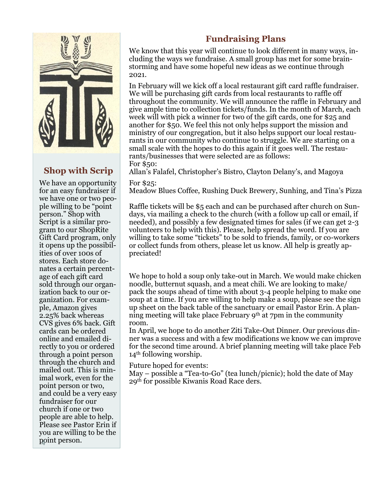

# **Shop with Scrip**

We have an opportunity for an easy fundraiser if we have one or two people willing to be "point person." Shop with Script is a similar program to our ShopRite Gift Card program, only it opens up the possibilities of over 100s of stores. Each store donates a certain percentage of each gift card sold through our organization back to our organization. For example, Amazon gives 2.25% back whereas CVS gives 6% back. Gift cards can be ordered online and emailed directly to you or ordered through a point person through the church and mailed out. This is minimal work, even for the point person or two, and could be a very easy fundraiser for our church if one or two people are able to help. Please see Pastor Erin if you are willing to be the point person. 4

## **Fundraising Plans**

We know that this year will continue to look different in many ways, including the ways we fundraise. A small group has met for some brainstorming and have some hopeful new ideas as we continue through 2021.

In February will we kick off a local restaurant gift card raffle fundraiser. We will be purchasing gift cards from local restaurants to raffle off throughout the community. We will announce the raffle in February and give ample time to collection tickets/funds. In the month of March, each week will with pick a winner for two of the gift cards, one for \$25 and another for \$50. We feel this not only helps support the mission and ministry of our congregation, but it also helps support our local restaurants in our community who continue to struggle. We are starting on a small scale with the hopes to do this again if it goes well. The restaurants/businesses that were selected are as follows: For \$50:

Allan's Falafel, Christopher's Bistro, Clayton Delany's, and Magoya

### For \$25:

Meadow Blues Coffee, Rushing Duck Brewery, Sunhing, and Tina's Pizza

Raffle tickets will be \$5 each and can be purchased after church on Sundays, via mailing a check to the church (with a follow up call or email, if needed), and possibly a few designated times for sales (if we can get 2-3 volunteers to help with this). Please, help spread the word. If you are willing to take some "tickets" to be sold to friends, family, or co-workers or collect funds from others, please let us know. All help is greatly appreciated!

We hope to hold a soup only take-out in March. We would make chicken noodle, butternut squash, and a meat chili. We are looking to make/ pack the soups ahead of time with about 3-4 people helping to make one soup at a time. If you are willing to help make a soup, please see the sign up sheet on the back table of the sanctuary or email Pastor Erin. A planning meeting will take place February 9th at 7pm in the community room.

In April, we hope to do another Ziti Take-Out Dinner. Our previous dinner was a success and with a few modifications we know we can improve for the second time around. A brief planning meeting will take place Feb 14<sup>th</sup> following worship.

Future hoped for events:

May – possible a "Tea-to-Go" (tea lunch/picnic); hold the date of May 29th for possible Kiwanis Road Race ders.